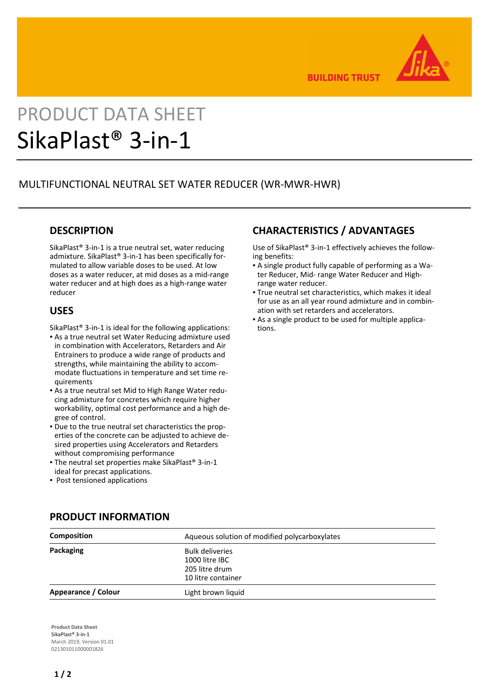

**BUILDING TRUST** 

# PRODUCT DATA SHEET SikaPlast® 3-in-1

# MULTIFUNCTIONAL NEUTRAL SET WATER REDUCER (WR-MWR-HWR)

## **DESCRIPTION**

SikaPlast® 3-in-1 is a true neutral set, water reducing admixture. SikaPlast® 3-in-1 has been specifically formulated to allow variable doses to be used. At low doses as a water reducer, at mid doses as a mid-range water reducer and at high does as a high-range water reducer

#### **USES**

SikaPlast® 3-in-1 is ideal for the following applications:

- As a true neutral set Water Reducing admixture used in combination with Accelerators, Retarders and Air Entrainers to produce a wide range of products and strengths, while maintaining the ability to accommodate fluctuations in temperature and set time requirements
- As a true neutral set Mid to High Range Water redu-▪ cing admixture for concretes which require higher workability, optimal cost performance and a high degree of control.
- Due to the true neutral set characteristics the prop-▪ erties of the concrete can be adjusted to achieve desired properties using Accelerators and Retarders without compromising performance
- **The neutral set properties make SikaPlast® 3-in-1** ideal for precast applications.
- Post tensioned applications

# **CHARACTERISTICS / ADVANTAGES**

Use of SikaPlast® 3-in-1 effectively achieves the following benefits:

- A single product fully capable of performing as a Wa-▪ ter Reducer, Mid- range Water Reducer and Highrange water reducer.
- True neutral set characteristics, which makes it ideal for use as an all year round admixture and in combination with set retarders and accelerators.
- As a single product to be used for multiple applica-▪ tions.

| Composition         | Aqueous solution of modified polycarboxylates                                    |
|---------------------|----------------------------------------------------------------------------------|
| Packaging           | <b>Bulk deliveries</b><br>1000 litre IBC<br>205 litre drum<br>10 litre container |
| Appearance / Colour | Light brown liquid                                                               |

#### **PRODUCT INFORMATION**

**Product Data Sheet** SikaPlast® 3-in-1 March 2019, Version 01.01 021301011000001826